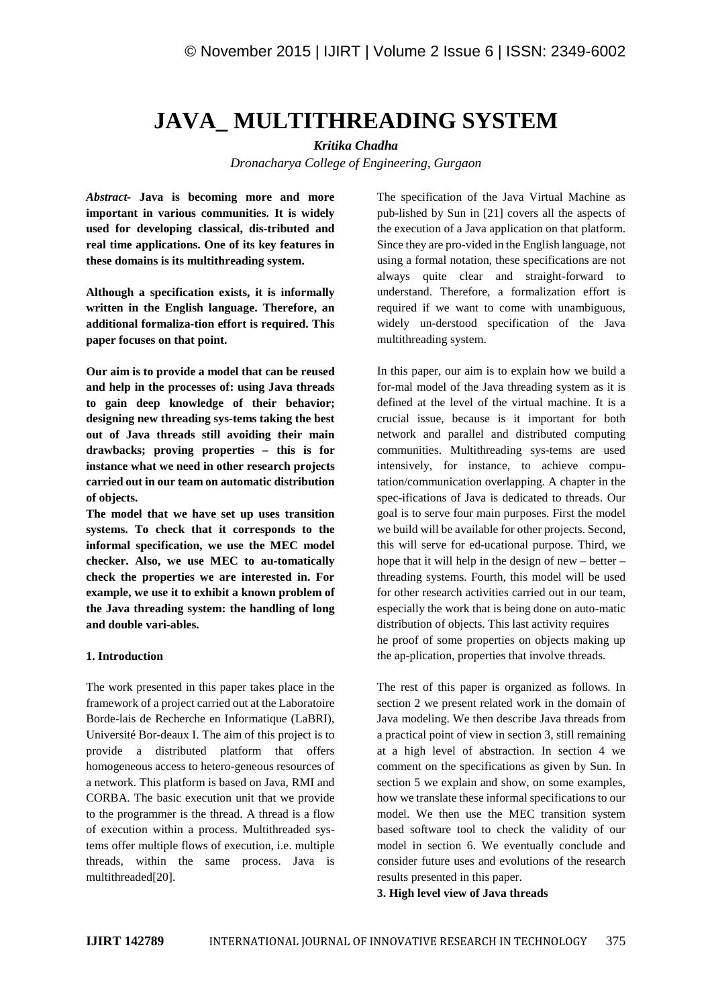# **JAVA\_ MULTITHREADING SYSTEM**

*Kritika Chadha*

*Dronacharya College of Engineering, Gurgaon*

*Abstract-* **Java is becoming more and more important in various communities. It is widely used for developing classical, dis-tributed and real time applications. One of its key features in these domains is its multithreading system.**

**Although a specification exists, it is informally written in the English language. Therefore, an additional formaliza-tion effort is required. This paper focuses on that point.**

**Our aim is to provide a model that can be reused and help in the processes of: using Java threads to gain deep knowledge of their behavior; designing new threading sys-tems taking the best out of Java threads still avoiding their main drawbacks; proving properties – this is for instance what we need in other research projects carried out in our team on automatic distribution of objects.**

**The model that we have set up uses transition systems. To check that it corresponds to the informal specification, we use the MEC model checker. Also, we use MEC to au-tomatically check the properties we are interested in. For example, we use it to exhibit a known problem of the Java threading system: the handling of long and double vari-ables.**

## **1. Introduction**

The work presented in this paper takes place in the framework of a project carried out at the Laboratoire Borde-lais de Recherche en Informatique (LaBRI), Université Bor-deaux I. The aim of this project is to provide a distributed platform that offers homogeneous access to hetero-geneous resources of a network. This platform is based on Java, RMI and CORBA. The basic execution unit that we provide to the programmer is the thread. A thread is a flow of execution within a process. Multithreaded systems offer multiple flows of execution, i.e. multiple threads, within the same process. Java is multithreaded[20].

The specification of the Java Virtual Machine as pub-lished by Sun in [21] covers all the aspects of the execution of a Java application on that platform. Since they are pro-vided in the English language, not using a formal notation, these specifications are not always quite clear and straight-forward to understand. Therefore, a formalization effort is required if we want to come with unambiguous, widely un-derstood specification of the Java multithreading system.

In this paper, our aim is to explain how we build a for-mal model of the Java threading system as it is defined at the level of the virtual machine. It is a crucial issue, because is it important for both network and parallel and distributed computing communities. Multithreading sys-tems are used intensively, for instance, to achieve computation/communication overlapping. A chapter in the spec-ifications of Java is dedicated to threads. Our goal is to serve four main purposes. First the model we build will be available for other projects. Second, this will serve for ed-ucational purpose. Third, we hope that it will help in the design of new – better – threading systems. Fourth, this model will be used for other research activities carried out in our team, especially the work that is being done on auto-matic distribution of objects. This last activity requires he proof of some properties on objects making up the ap-plication, properties that involve threads.

The rest of this paper is organized as follows. In section 2 we present related work in the domain of Java modeling. We then describe Java threads from a practical point of view in section 3, still remaining at a high level of abstraction. In section 4 we comment on the specifications as given by Sun. In section 5 we explain and show, on some examples, how we translate these informal specifications to our model. We then use the MEC transition system based software tool to check the validity of our model in section 6. We eventually conclude and consider future uses and evolutions of the research results presented in this paper.

**3. High level view of Java threads**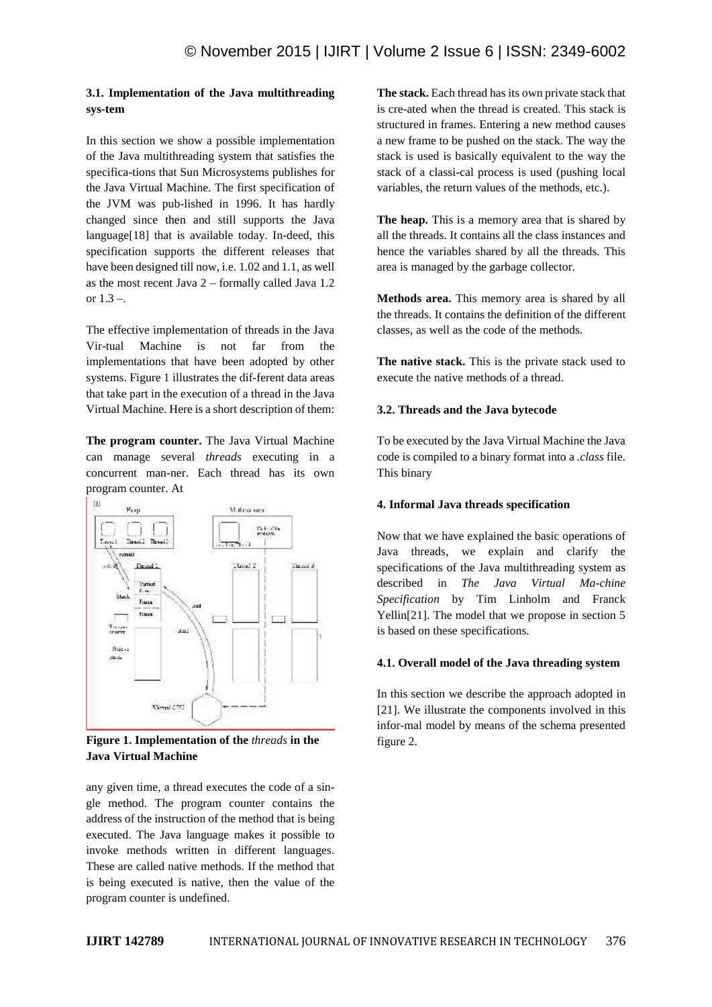# **3.1. Implementation of the Java multithreading sys-tem**

In this section we show a possible implementation of the Java multithreading system that satisfies the specifica-tions that Sun Microsystems publishes for the Java Virtual Machine. The first specification of the JVM was pub-lished in 1996. It has hardly changed since then and still supports the Java language[18] that is available today. In-deed, this specification supports the different releases that have been designed till now, i.e. 1.02 and 1.1, as well as the most recent Java 2 – formally called Java 1.2 or 1.3 –.

The effective implementation of threads in the Java Vir-tual Machine is not far from the implementations that have been adopted by other systems. Figure 1 illustrates the dif-ferent data areas that take part in the execution of a thread in the Java Virtual Machine. Here is a short description of them:

**The program counter.** The Java Virtual Machine can manage several *threads* executing in a concurrent man-ner. Each thread has its own program counter. At



**Figure 1. Implementation of the** *threads* **in the Java Virtual Machine**

any given time, a thread executes the code of a sin gle method. The program counter contains the address of the instruction of the method that is being executed. The Java language makes it possible to invoke methods written in different languages. These are called native methods. If the method that is being executed is native, then the value of the program counter is undefined.

**The stack.** Each thread has its own private stack that is cre-ated when the thread is created. This stack is structured in frames. Entering a new method causes a new frame to be pushed on the stack. The way the stack is used is basically equivalent to the way the stack of a classi-cal process is used (pushing local variables, the return values of the methods, etc.).

**The heap.** This is a memory area that is shared by all the threads. It contains all the class instances and hence the variables shared by all the threads. This area is managed by the garbage collector.

**Methods area.** This memory area is shared by all the threads. It contains the definition of the different classes, as well as the code of the methods.

**The native stack.** This is the private stack used to execute the native methods of a thread.

# **3.2. Threads and the Java bytecode**

To be executed by the Java Virtual Machine the Java code is compiled to a binary format into a *.class* file. This binary

# **4. Informal Java threads specification**

Now that we have explained the basic operations of Java threads, we explain and clarify the specifications of the Java multithreading system as described in *The Java Virtual Ma-chine Specification* by Tim Linholm and Franck Yellin[21]. The model that we propose in section 5 is based on these specifications.

## **4.1. Overall model of the Java threading system**

In this section we describe the approach adopted in [21]. We illustrate the components involved in this infor-mal model by means of the schema presented figure 2.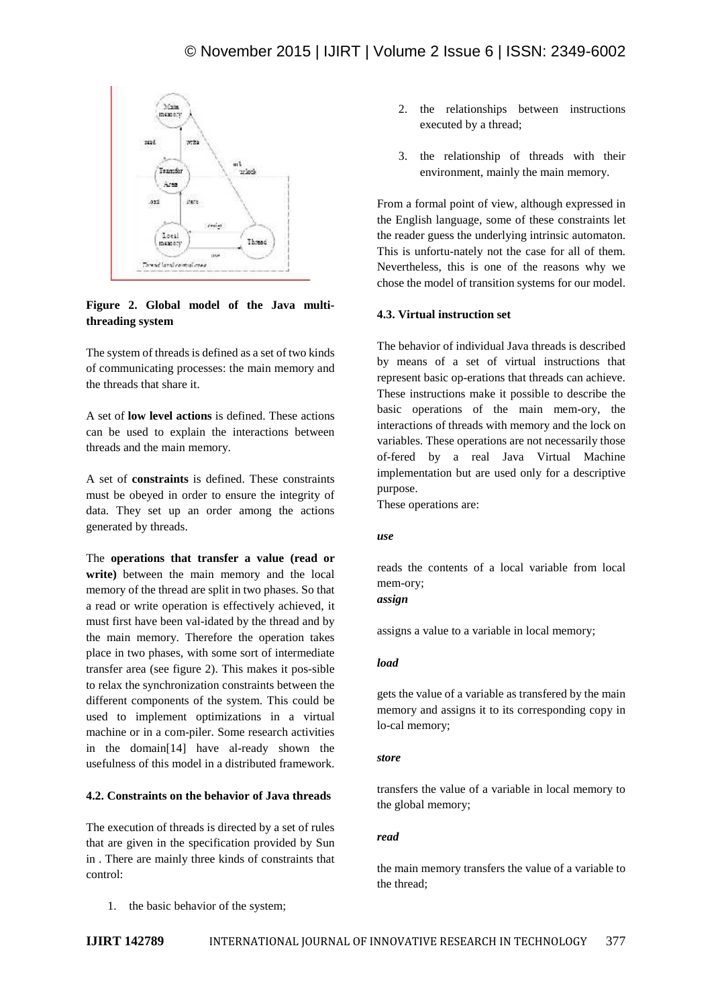

# **Figure 2. Global model of the Java multithreading system**

The system of threads is defined as a set of two kinds of communicating processes: the main memory and the threads that share it.

A set of **low level actions** is defined. These actions can be used to explain the interactions between threads and the main memory.

A set of **constraints** is defined. These constraints must be obeyed in order to ensure the integrity of data. They set up an order among the actions generated by threads.

The **operations that transfer a value (read or write)** between the main memory and the local memory of the thread are split in two phases. So that a read or write operation is effectively achieved, it must first have been val-idated by the thread and by the main memory. Therefore the operation takes place in two phases, with some sort of intermediate transfer area (see figure 2). This makes it pos-sible to relax the synchronization constraints between the different components of the system. This could be used to implement optimizations in a virtual machine or in a com-piler. Some research activities in the domain[14] have al-ready shown the usefulness of this model in a distributed framework.

# **4.2. Constraints on the behavior of Java threads**

The execution of threads is directed by a set of rules that are given in the specification provided by Sun in . There are mainly three kinds of constraints that control:

1. the basic behavior of the system;

- 2. the relationships between instructions executed by a thread;
- 3. the relationship of threads with their environment, mainly the main memory.

From a formal point of view, although expressed in the English language, some of these constraints let the reader guess the underlying intrinsic automaton. This is unfortu-nately not the case for all of them. Nevertheless, this is one of the reasons why we chose the model of transition systems for our model.

## **4.3. Virtual instruction set**

The behavior of individual Java threads is described by means of a set of virtual instructions that represent basic op-erations that threads can achieve. These instructions make it possible to describe the basic operations of the main mem-ory, the interactions of threads with memory and the lock on variables. These operations are not necessarily those of-fered by a real Java Virtual Machine implementation but are used only for a descriptive purpose.

These operations are:

#### *use*

reads the contents of a local variable from local mem-ory;

*assign*

assigns a value to a variable in local memory;

# *load*

gets the value of a variable as transfered by the main memory and assigns it to its corresponding copy in lo-cal memory;

#### *store*

transfers the value of a variable in local memory to the global memory;

## *read*

the main memory transfers the value of a variable to the thread;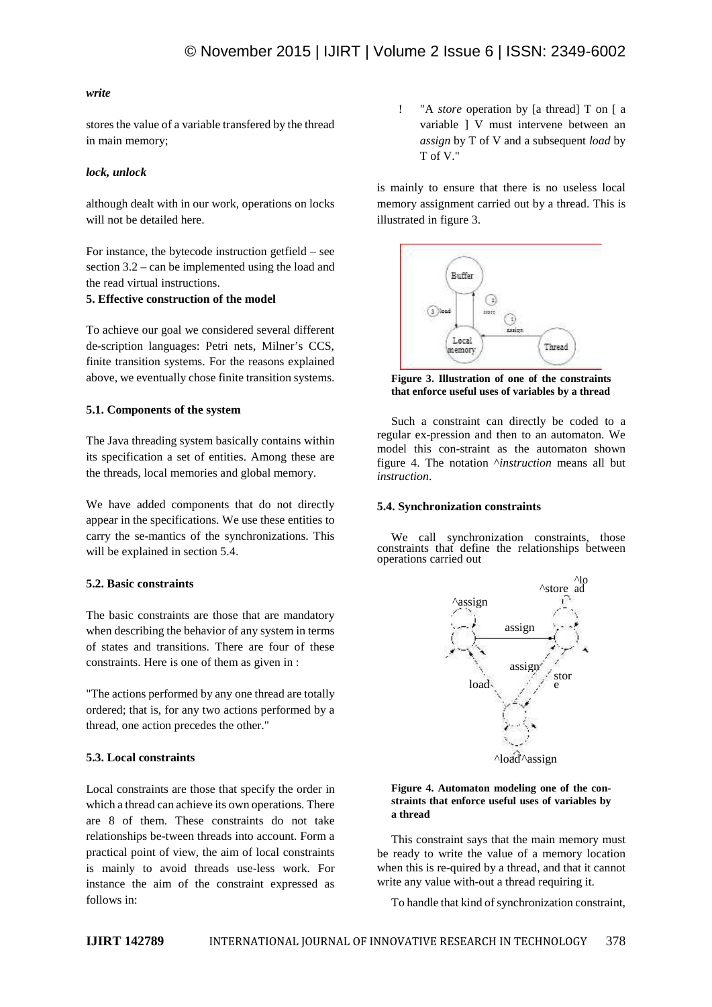#### *write*

stores the value of a variable transfered by the thread in main memory;

#### *lock, unlock*

although dealt with in our work, operations on locks will not be detailed here.

For instance, the bytecode instruction getfield – see section 3.2 – can be implemented using the load and the read virtual instructions.

#### **5. Effective construction of the model**

To achieve our goal we considered several different de-scription languages: Petri nets, Milner's CCS, finite transition systems. For the reasons explained above, we eventually chose finite transition systems.

## **5.1. Components of the system**

The Java threading system basically contains within its specification a set of entities. Among these are the threads, local memories and global memory.

We have added components that do not directly appear in the specifications. We use these entities to carry the se-mantics of the synchronizations. This will be explained in section 5.4.

## **5.2. Basic constraints**

The basic constraints are those that are mandatory when describing the behavior of any system in terms of states and transitions. There are four of these constraints. Here is one of them as given in :

"The actions performed by any one thread are totally ordered; that is, for any two actions performed by a thread, one action precedes the other."

# **5.3. Local constraints**

Local constraints are those that specify the order in which a thread can achieve its own operations. There are 8 of them. These constraints do not take relationships be-tween threads into account. Form a practical point of view, the aim of local constraints is mainly to avoid threads use-less work. For instance the aim of the constraint expressed as follows in:

! "A *store* operation by [a thread] T on [ a variable ] V must intervene between an *assign* by T of V and a subsequent *load* by T of V."

is mainly to ensure that there is no useless local memory assignment carried out by a thread. This is illustrated in figure 3.



**Figure 3. Illustration of one of the constraints that enforce useful uses of variables by a thread**

Such a constraint can directly be coded to a regular ex-pression and then to an automaton. We model this con-straint as the automaton shown figure 4. The notation ^*instruction* means all but *instruction*.

#### **5.4. Synchronization constraints**

We call synchronization constraints, those constraints that define the relationships between operations carried out



#### **Figure 4. Automaton modeling one of the con straints that enforce useful uses of variables by a thread**

This constraint says that the main memory must be ready to write the value of a memory location when this is re-quired by a thread, and that it cannot write any value with-out a thread requiring it.

To handle that kind of synchronization constraint,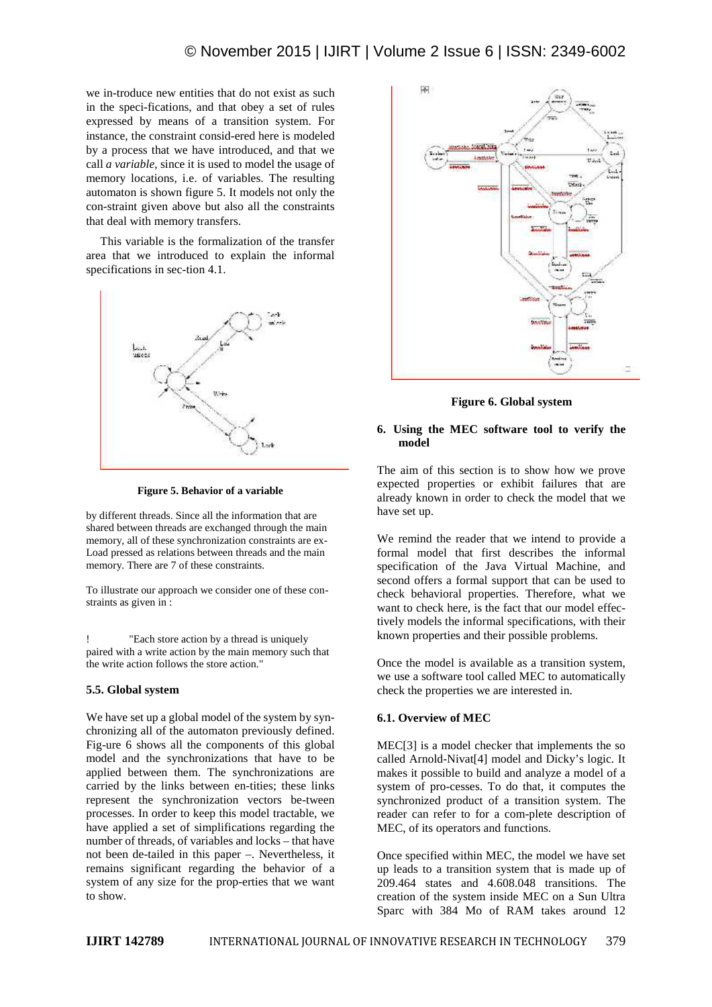we in-troduce new entities that do not exist as such in the speci-fications, and that obey a set of rules expressed by means of a transition system. For instance, the constraint consid-ered here is modeled by a process that we have introduced, and that we call *a variable*, since it is used to model the usage of memory locations, i.e. of variables. The resulting automaton is shown figure 5. It models not only the con-straint given above but also all the constraints that deal with memory transfers.

This variable is the formalization of the transfer area that we introduced to explain the informal specifications in sec-tion 4.1.



**Figure 5. Behavior of a variable**

by different threads. Since all the information that are shared between threads are exchanged through the main memory, all of these synchronization constraints are ex- Load pressed as relations between threads and the main memory. There are 7 of these constraints.

To illustrate our approach we consider one of these con straints as given in :

! "Each store action by a thread is uniquely paired with a write action by the main memory such that the write action follows the store action."

#### **5.5. Global system**

We have set up a global model of the system by syn chronizing all of the automaton previously defined. Fig-ure 6 shows all the components of this global model and the synchronizations that have to be applied between them. The synchronizations are carried by the links between en-tities; these links represent the synchronization vectors be-tween processes. In order to keep this model tractable, we have applied a set of simplifications regarding the number of threads, of variables and locks – that have not been de-tailed in this paper –. Nevertheless, it remains significant regarding the behavior of a system of any size for the prop-erties that we want to show.



**Figure 6. Global system**

#### **6. Using the MEC software tool to verify the model**

The aim of this section is to show how we prove expected properties or exhibit failures that are already known in order to check the model that we have set up.

We remind the reader that we intend to provide a formal model that first describes the informal specification of the Java Virtual Machine, and second offers a formal support that can be used to check behavioral properties. Therefore, what we want to check here, is the fact that our model effectively models the informal specifications, with their known properties and their possible problems.

Once the model is available as a transition system, we use a software tool called MEC to automatically check the properties we are interested in.

## **6.1. Overview of MEC**

MEC[3] is a model checker that implements the so called Arnold-Nivat[4] model and Dicky's logic. It makes it possible to build and analyze a model of a system of pro-cesses. To do that, it computes the synchronized product of a transition system. The reader can refer to for a com-plete description of MEC, of its operators and functions.

Once specified within MEC, the model we have set up leads to a transition system that is made up of 209.464 states and 4.608.048 transitions. The creation of the system inside MEC on a Sun Ultra Sparc with 384 Mo of RAM takes around 12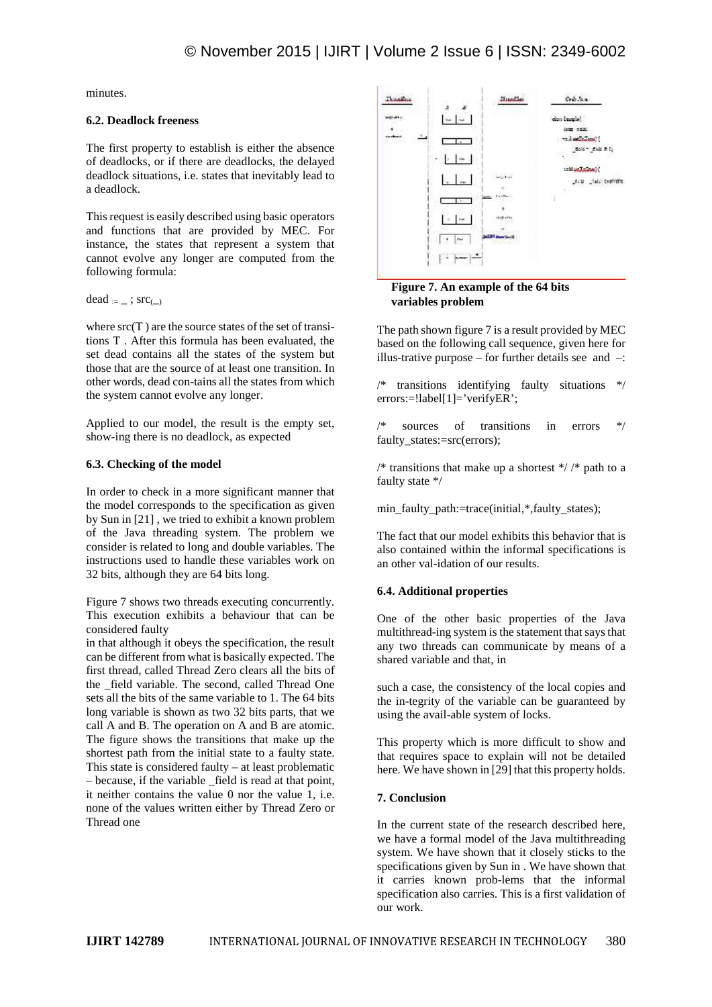minutes.

#### **6.2. Deadlock freeness**

The first property to establish is either the absence of deadlocks, or if there are deadlocks, the delayed deadlock situations, i.e. states that inevitably lead to a deadlock.

This request is easily described using basic operators and functions that are provided by MEC. For instance, the states that represent a system that cannot evolve any longer are computed from the following formula:

dead  $:=$  ;  $src_{()}$ 

where  $src(T)$  are the source states of the set of transitions T . After this formula has been evaluated, the set dead contains all the states of the system but those that are the source of at least one transition. In other words, dead con-tains all the states from which the system cannot evolve any longer.

Applied to our model, the result is the empty set, show-ing there is no deadlock, as expected

#### **6.3. Checking of the model**

In order to check in a more significant manner that the model corresponds to the specification as given by Sun in [21] , we tried to exhibit a known problem of the Java threading system. The problem we consider is related to long and double variables. The instructions used to handle these variables work on 32 bits, although they are 64 bits long.

Figure 7 shows two threads executing concurrently. This execution exhibits a behaviour that can be considered faulty

in that although it obeys the specification, the result can be different from what is basically expected. The first thread, called Thread Zero clears all the bits of the \_field variable. The second, called Thread One sets all the bits of the same variable to 1. The 64 bits long variable is shown as two 32 bits parts, that we call A and B. The operation on A and B are atomic. The figure shows the transitions that make up the shortest path from the initial state to a faulty state. This state is considered faulty – at least problematic – because, if the variable \_field is read at that point, it neither contains the value  $\overline{0}$  nor the value  $\overline{1}$ , i.e. none of the values written either by Thread Zero or Thread one





The path shown figure 7 is a result provided by MEC based on the following call sequence, given here for illus-trative purpose – for further details see and  $-$ :

/\* transitions identifying faulty situations \*/ errors:=!label[1]='verifyER';

/\* sources of transitions in errors \*/ faulty\_states:=src(errors);

/\* transitions that make up a shortest  $*/$  /\* path to a faulty state \*/

min\_faulty\_path:=trace(initial,\*,faulty\_states);

The fact that our model exhibits this behavior that is also contained within the informal specifications is an other val-idation of our results.

## **6.4. Additional properties**

One of the other basic properties of the Java multithread-ing system is the statement that says that any two threads can communicate by means of a shared variable and that, in

such a case, the consistency of the local copies and the in-tegrity of the variable can be guaranteed by using the avail-able system of locks.

This property which is more difficult to show and that requires space to explain will not be detailed here. We have shown in [29] that this property holds.

## **7. Conclusion**

In the current state of the research described here, we have a formal model of the Java multithreading system. We have shown that it closely sticks to the specifications given by Sun in . We have shown that it carries known prob-lems that the informal specification also carries. This is a first validation of our work.